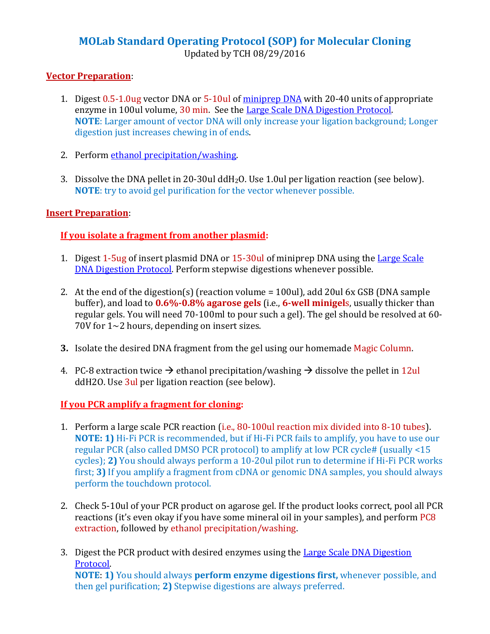## **MOLab Standard Operating Protocol (SOP) for Molecular Cloning** Updated by TCH 08/29/2016

## **Vector Preparation**:

- 1. Digest 0.5-1.0ug vector DNA or 5-10ul o[f miniprep DNA](http://www.boneandcancer.org/protocolsa14.htm) with 20-40 units of appropriate enzyme in 100ul volume, 30 min. See th[e Large Scale DNA Digestion Protocol.](http://www.boneandcancer.org/protocolsa25.htm) **NOTE**: Larger amount of vector DNA will only increase your ligation background; Longer digestion just increases chewing in of ends.
- 2. Perform [ethanol precipitation/washing.](http://www.boneandcancer.org/protocolsa21.htm)
- 3. Dissolve the DNA pellet in 20-30ul ddH2O. Use 1.0ul per ligation reaction (see below). **NOTE**: try to avoid gel purification for the vector whenever possible.

## **Insert Preparation**:

## **If you isolate a fragment from another plasmid:**

- 1. Digest 1-5ug of insert plasmid DNA or 15-30ul of miniprep DNA using the [Large Scale](http://www.boneandcancer.org/protocolsa25.htm)  [DNA Digestion Protocol.](http://www.boneandcancer.org/protocolsa25.htm) Perform stepwise digestions whenever possible.
- 2. At the end of the digestion(s) (reaction volume = 100ul), add 20ul 6x GSB (DNA sample buffer), and load to **0.6%-0.8% agarose gels** (i.e., **6-well minigel**s, usually thicker than regular gels. You will need 70-100ml to pour such a gel). The gel should be resolved at 60- 70V for 1~2 hours, depending on insert sizes.
- **3.** Isolate the desired DNA fragment from the gel using our homemade Magic Column.
- 4. PC-8 extraction twice  $\rightarrow$  ethanol precipitation/washing  $\rightarrow$  dissolve the pellet in 12ul ddH2O. Use 3ul per ligation reaction (see below).

## **If you PCR amplify a fragment for cloning:**

- 1. Perform a large scale PCR reaction (i.e., 80-100ul reaction mix divided into 8-10 tubes). **NOTE: 1)** Hi-Fi PCR is recommended, but if Hi-Fi PCR fails to amplify, you have to use our regular PCR (also called DMSO PCR protocol) to amplify at low PCR cycle# (usually <15 cycles); **2)** You should always perform a 10-20ul pilot run to determine if Hi-Fi PCR works first; **3)** If you amplify a fragment from cDNA or genomic DNA samples, you should always perform the touchdown protocol.
- 2. Check 5-10ul of your PCR product on agarose gel. If the product looks correct, pool all PCR reactions (it's even okay if you have some mineral oil in your samples), and perform PC8 extraction, followed by ethanol precipitation/washing.
- 3. Digest the PCR product with desired enzymes using the [Large Scale DNA Digestion](http://www.boneandcancer.org/protocolsa25.htm)  [Protocol.](http://www.boneandcancer.org/protocolsa25.htm) **NOTE**: **1)** You should always **perform enzyme digestions first,** whenever possible, and then gel purification; **2)** Stepwise digestions are always preferred.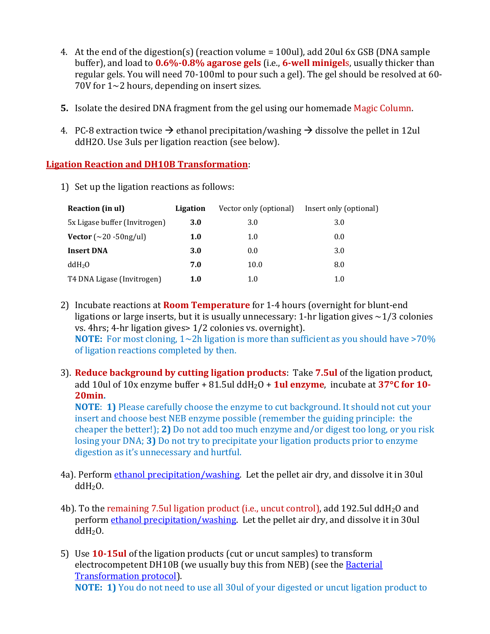- 4. At the end of the digestion(s) (reaction volume = 100ul), add 20ul 6x GSB (DNA sample buffer), and load to **0.6%-0.8% agarose gels** (i.e., **6-well minigel**s, usually thicker than regular gels. You will need 70-100ml to pour such a gel). The gel should be resolved at 60- 70V for 1~2 hours, depending on insert sizes.
- **5.** Isolate the desired DNA fragment from the gel using our homemade Magic Column.
- 4. PC-8 extraction twice  $\rightarrow$  ethanol precipitation/washing  $\rightarrow$  dissolve the pellet in 12ul ddH2O. Use 3uls per ligation reaction (see below).

## **Ligation Reaction and DH10B Transformation**:

1) Set up the ligation reactions as follows:

| Reaction (in ul)              | Ligation   | Vector only (optional) | Insert only (optional) |
|-------------------------------|------------|------------------------|------------------------|
| 5x Ligase buffer (Invitrogen) | <b>3.0</b> | 3.0                    | 3.0                    |
| Vector $(\sim 20 - 50$ ng/ul) | 1.0        | 1.0                    | 0.0                    |
| <b>Insert DNA</b>             | 3.0        | 0.0                    | 3.0                    |
| ddH <sub>2</sub> O            | 7.0        | 10.0                   | 8.0                    |
| T4 DNA Ligase (Invitrogen)    | 1.0        | 1.0                    | 1.0                    |

- 2) Incubate reactions at **Room Temperature** for 1-4 hours (overnight for blunt-end ligations or large inserts, but it is usually unnecessary: 1-hr ligation gives  $\sim$ 1/3 colonies vs. 4hrs; 4-hr ligation gives> 1/2 colonies vs. overnight). **NOTE:** For most cloning, 1~2h ligation is more than sufficient as you should have >70% of ligation reactions completed by then.
- 3). **Reduce background by cutting ligation products**: Take **7.5ul** of the ligation product, add 10ul of 10x enzyme buffer + 81.5ul ddH2O + **1ul enzyme**, incubate at **37C for 10- 20min.**

**NOTE**: **1)** Please carefully choose the enzyme to cut background. It should not cut your insert and choose best NEB enzyme possible (remember the guiding principle: the cheaper the better!); **2)** Do not add too much enzyme and/or digest too long, or you risk losing your DNA; **3)** Do not try to precipitate your ligation products prior to enzyme digestion as it's unnecessary and hurtful.

- 4a). Perform [ethanol precipitation/washing.](http://www.boneandcancer.org/protocolsa21.htm) Let the pellet air dry, and dissolve it in 30ul  $ddH<sub>2</sub>O$ .
- 4b). To the remaining 7.5ul ligation product (i.e., uncut control), add 192.5ul ddH2O and perform [ethanol precipitation/washing.](http://www.boneandcancer.org/protocolsa21.htm) Let the pellet air dry, and dissolve it in 30ul  $ddH<sub>2</sub>O$ .
- 5) Use **10-15ul** of the ligation products (cut or uncut samples) to transform electrocompetent DH10B (we usually buy this from NEB) (see the [Bacterial](http://www.boneandcancer.org/protocolsa10.htm)  [Transformation protocol\)](http://www.boneandcancer.org/protocolsa10.htm). **NOTE: 1)** You do not need to use all 30ul of your digested or uncut ligation product to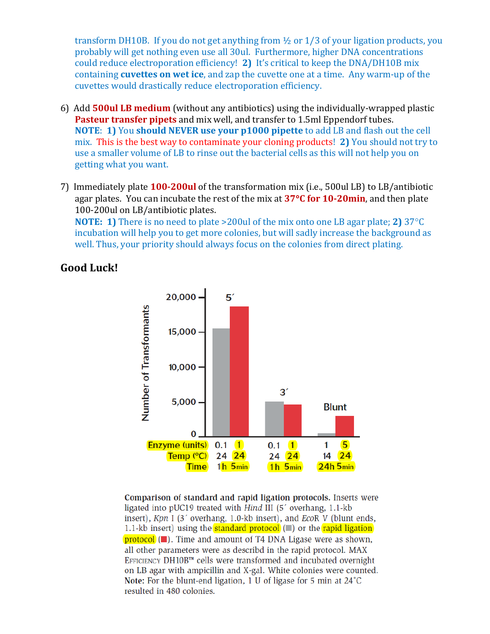transform DH10B. If you do not get anything from ½ or 1/3 of your ligation products, you probably will get nothing even use all 30ul. Furthermore, higher DNA concentrations could reduce electroporation efficiency! **2)** It's critical to keep the DNA/DH10B mix containing **cuvettes on wet ice**, and zap the cuvette one at a time. Any warm-up of the cuvettes would drastically reduce electroporation efficiency.

- 6) Add **500ul LB medium** (without any antibiotics) using the individually-wrapped plastic **Pasteur transfer pipets** and mix well, and transfer to 1.5ml Eppendorf tubes. **NOTE**: **1)** You **should NEVER use your p1000 pipette** to add LB and flash out the cell mix. This is the best way to contaminate your cloning products! **2)** You should not try to use a smaller volume of LB to rinse out the bacterial cells as this will not help you on getting what you want.
- 7) Immediately plate **100-200ul** of the transformation mix (i.e., 500ul LB) to LB/antibiotic agar plates. You can incubate the rest of the mix at **37C for 10-20min**, and then plate 100-200ul on LB/antibiotic plates.

**NOTE: 1)** There is no need to plate >200ul of the mix onto one LB agar plate; **2)** 37°C incubation will help you to get more colonies, but will sadly increase the background as well. Thus, your priority should always focus on the colonies from direct plating.

## **Good Luck!**



Comparison of standard and rapid ligation protocols. Inserts were ligated into pUC19 treated with Hind III (5' overhang, 1.1-kb insert), Kpn I (3' overhang, 1.0-kb insert), and EcoR V (blunt ends, 1.1-kb insert) using the **standard protocol** (a) or the rapid ligation protocol ( $\Box$ ). Time and amount of T4 DNA Ligase were as shown, all other parameters were as describd in the rapid protocol. MAX EFFICIENCY DH10B™ cells were transformed and incubated overnight on LB agar with ampicillin and X-gal. White colonies were counted. Note: For the blunt-end ligation, 1 U of ligase for 5 min at 24°C resulted in 480 colonies.